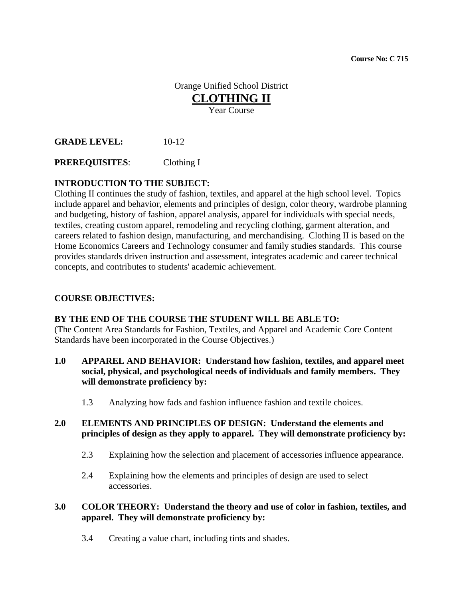**Course No: C 715** 

# Orange Unified School District **CLOTHING II** Year Course

**GRADE LEVEL:** 10-12

**PREREQUISITES**: Clothing I

# **INTRODUCTION TO THE SUBJECT:**

Clothing II continues the study of fashion, textiles, and apparel at the high school level. Topics include apparel and behavior, elements and principles of design, color theory, wardrobe planning and budgeting, history of fashion, apparel analysis, apparel for individuals with special needs, textiles, creating custom apparel, remodeling and recycling clothing, garment alteration, and careers related to fashion design, manufacturing, and merchandising. Clothing II is based on the Home Economics Careers and Technology consumer and family studies standards. This course provides standards driven instruction and assessment, integrates academic and career technical concepts, and contributes to students' academic achievement.

#### **COURSE OBJECTIVES:**

#### **BY THE END OF THE COURSE THE STUDENT WILL BE ABLE TO:**

(The Content Area Standards for Fashion, Textiles, and Apparel and Academic Core Content Standards have been incorporated in the Course Objectives.)

- **1.0 APPAREL AND BEHAVIOR: Understand how fashion, textiles, and apparel meet social, physical, and psychological needs of individuals and family members. They will demonstrate proficiency by:** 
	- 1.3 Analyzing how fads and fashion influence fashion and textile choices.

#### **2.0 ELEMENTS AND PRINCIPLES OF DESIGN: Understand the elements and principles of design as they apply to apparel. They will demonstrate proficiency by:**

- 2.3 Explaining how the selection and placement of accessories influence appearance.
- 2.4 Explaining how the elements and principles of design are used to select accessories.

#### **3.0 COLOR THEORY: Understand the theory and use of color in fashion, textiles, and apparel. They will demonstrate proficiency by:**

3.4 Creating a value chart, including tints and shades.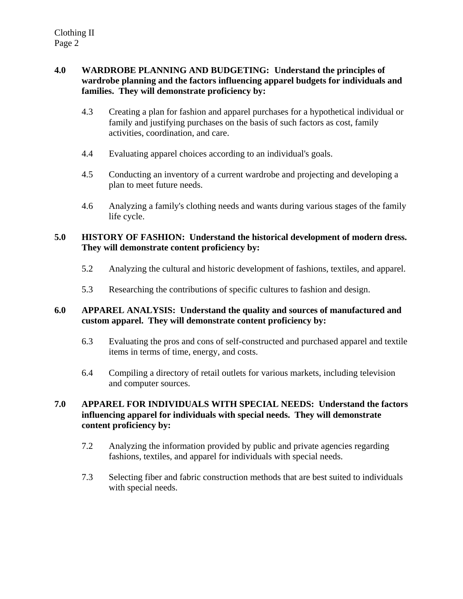# **4.0 WARDROBE PLANNING AND BUDGETING: Understand the principles of wardrobe planning and the factors influencing apparel budgets for individuals and families. They will demonstrate proficiency by:**

- 4.3 Creating a plan for fashion and apparel purchases for a hypothetical individual or family and justifying purchases on the basis of such factors as cost, family activities, coordination, and care.
- 4.4 Evaluating apparel choices according to an individual's goals.
- 4.5 Conducting an inventory of a current wardrobe and projecting and developing a plan to meet future needs.
- 4.6 Analyzing a family's clothing needs and wants during various stages of the family life cycle.

# **5.0 HISTORY OF FASHION: Understand the historical development of modern dress. They will demonstrate content proficiency by:**

- 5.2 Analyzing the cultural and historic development of fashions, textiles, and apparel.
- 5.3 Researching the contributions of specific cultures to fashion and design.

# **6.0 APPAREL ANALYSIS: Understand the quality and sources of manufactured and custom apparel. They will demonstrate content proficiency by:**

- 6.3 Evaluating the pros and cons of self-constructed and purchased apparel and textile items in terms of time, energy, and costs.
- 6.4 Compiling a directory of retail outlets for various markets, including television and computer sources.

# **7.0 APPAREL FOR INDIVIDUALS WITH SPECIAL NEEDS: Understand the factors influencing apparel for individuals with special needs. They will demonstrate content proficiency by:**

- 7.2 Analyzing the information provided by public and private agencies regarding fashions, textiles, and apparel for individuals with special needs.
- 7.3 Selecting fiber and fabric construction methods that are best suited to individuals with special needs.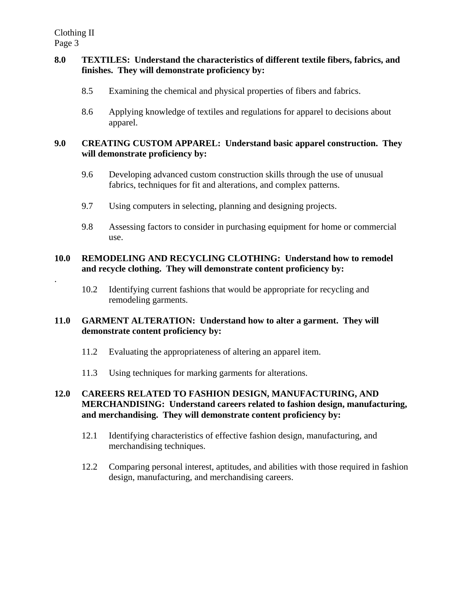.

# **8.0 TEXTILES: Understand the characteristics of different textile fibers, fabrics, and finishes. They will demonstrate proficiency by:**

- 8.5 Examining the chemical and physical properties of fibers and fabrics.
- 8.6 Applying knowledge of textiles and regulations for apparel to decisions about apparel.

#### **9.0 CREATING CUSTOM APPAREL: Understand basic apparel construction. They will demonstrate proficiency by:**

- 9.6 Developing advanced custom construction skills through the use of unusual fabrics, techniques for fit and alterations, and complex patterns.
- 9.7 Using computers in selecting, planning and designing projects.
- 9.8 Assessing factors to consider in purchasing equipment for home or commercial use.

# **10.0 REMODELING AND RECYCLING CLOTHING: Understand how to remodel and recycle clothing. They will demonstrate content proficiency by:**

10.2 Identifying current fashions that would be appropriate for recycling and remodeling garments.

# **11.0 GARMENT ALTERATION: Understand how to alter a garment. They will demonstrate content proficiency by:**

- 11.2 Evaluating the appropriateness of altering an apparel item.
- 11.3 Using techniques for marking garments for alterations.

# **12.0 CAREERS RELATED TO FASHION DESIGN, MANUFACTURING, AND MERCHANDISING: Understand careers related to fashion design, manufacturing, and merchandising. They will demonstrate content proficiency by:**

- 12.1 Identifying characteristics of effective fashion design, manufacturing, and merchandising techniques.
- 12.2 Comparing personal interest, aptitudes, and abilities with those required in fashion design, manufacturing, and merchandising careers.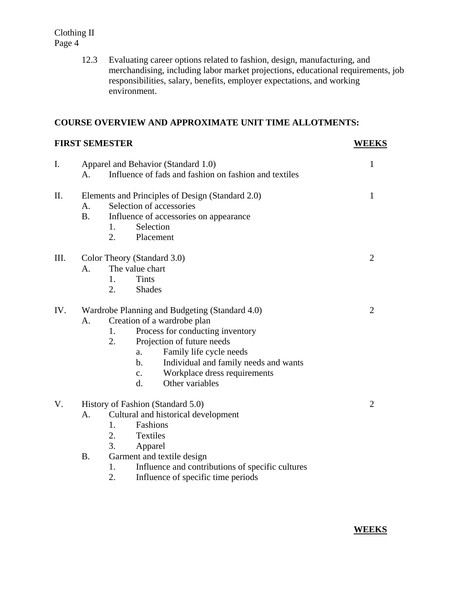> 12.3 Evaluating career options related to fashion, design, manufacturing, and merchandising, including labor market projections, educational requirements, job responsibilities, salary, benefits, employer expectations, and working environment.

#### **COURSE OVERVIEW AND APPROXIMATE UNIT TIME ALLOTMENTS:**

# **FIRST SEMESTER WEEKS** I. Apparel and Behavior (Standard 1.0) 1 A. Influence of fads and fashion on fashion and textiles II. Elements and Principles of Design (Standard 2.0) 1 A. Selection of accessories B. Influence of accessories on appearance 1. Selection 2. Placement III. Color Theory (Standard 3.0) 2 A. The value chart 1. Tints 2. Shades IV. Wardrobe Planning and Budgeting (Standard 4.0) 2 A. Creation of a wardrobe plan 1. Process for conducting inventory 2. Projection of future needs a. Family life cycle needs b. Individual and family needs and wants c. Workplace dress requirements d. Other variables V. History of Fashion (Standard 5.0) 2 A. Cultural and historical development 1. Fashions 2. Textiles 3. Apparel

- B. Garment and textile design
	- 1. Influence and contributions of specific cultures
	- 2. Influence of specific time periods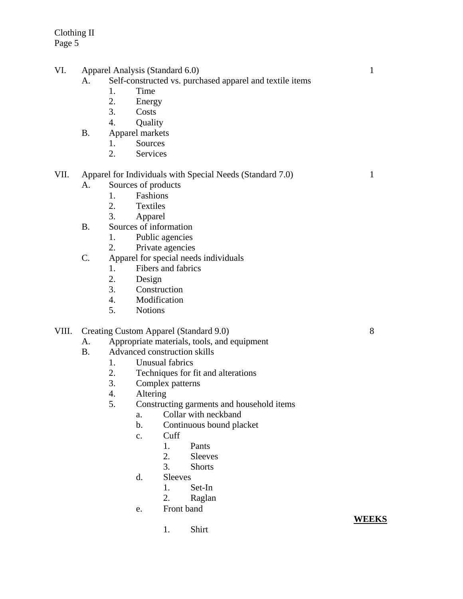- VI. Apparel Analysis (Standard 6.0) 1
	- A. Self-constructed vs. purchased apparel and textile items
		- 1. Time
		- 2. Energy
		- 3. Costs
		- 4. Quality
	- B. Apparel markets
		- 1. Sources
		- 2. Services
- VII. Apparel for Individuals with Special Needs (Standard 7.0) 1
	- A. Sources of products
		- 1. Fashions<br>2. Textiles
			- **Textiles**
			- 3. Apparel
	- B. Sources of information
		- 1. Public agencies
		- 2. Private agencies
	- C. Apparel for special needs individuals
		- 1. Fibers and fabrics
		- 2. Design
		- 3. Construction
		- 4. Modification
		- 5. Notions

# VIII. Creating Custom Apparel (Standard 9.0) 8

- A. Appropriate materials, tools, and equipment
- B. Advanced construction skills
	- 1. Unusual fabrics
	- 2. Techniques for fit and alterations
	- 3. Complex patterns
	- 4. Altering
	- 5. Constructing garments and household items
		- a. Collar with neckband
		- b. Continuous bound placket
		- c. Cuff
			- 1. Pants
			- 2. Sleeves
			- 3. Shorts
		- d. Sleeves
			- 1. Set-In
			- 2. Raglan
		- e. Front band
			- 1. Shirt

#### **WEEKS**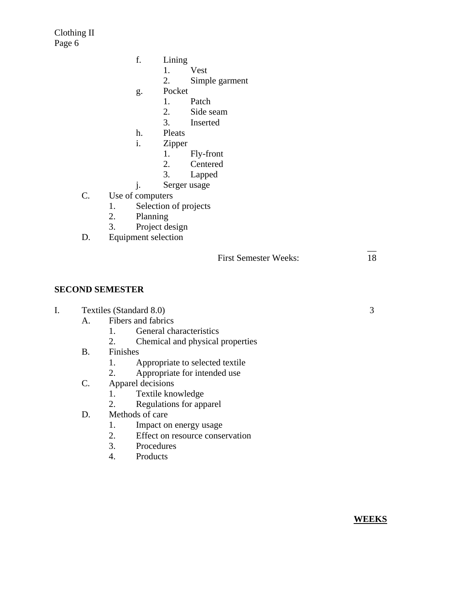- f. Lining
	- 1. Vest
	- 2. Simple garment
- g. Pocket
	- 1. Patch
	- 2. Side seam
	- 3. Inserted
- h. Pleats
- i. Zipper
	- 1. Fly-front
	- 2. Centered
	- 3. Lapped
	-

 $\mathcal{L}_\mathcal{L}$  , the contract of the contract of the contract of the contract of the contract of the contract of

- j. Serger usage<br>C. Use of computers Use of computers
	- 1. Selection of projects
	- 2. Planning
	- 3. Project design
- D. Equipment selection

# **SECOND SEMESTER**

#### I. Textiles (Standard 8.0) 3

- A. Fibers and fabrics
	- 1. General characteristics
	- 2. Chemical and physical properties
- B. Finishes
	- 1. Appropriate to selected textile
	- 2. Appropriate for intended use
- C. Apparel decisions
	- 1. Textile knowledge
	- 2. Regulations for apparel
- D. Methods of care
	- 1. Impact on energy usage
	- 2. Effect on resource conservation
	- 3. Procedures
	- 4. Products

**WEEKS**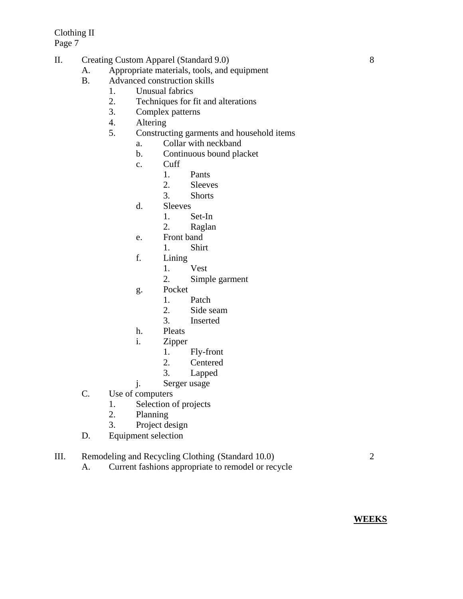- II. Creating Custom Apparel (Standard 9.0) 8
	- A. Appropriate materials, tools, and equipment
		- B. Advanced construction skills
			- 1. Unusual fabrics
			- 2. Techniques for fit and alterations
			- 3. Complex patterns
			- 4. Altering
			- 5. Constructing garments and household items
				- a. Collar with neckband
				- b. Continuous bound placket
				- c. Cuff
					- 1. Pants
					- 2. Sleeves
					- 3. Shorts
				- d. Sleeves
					- 1. Set-In
					- 2. Raglan
				- e. Front band
					- 1. Shirt
				- f. Lining
					- 1. Vest
					- 2. Simple garment
				- g. Pocket
					- 1. Patch
					- 2. Side seam
					- 3. Inserted
				- h. Pleats
				- i. Zipper
					- 1. Fly-front
					- 2. Centered
					- 3. Lapped
				- j. Serger usage
		- C. Use of computers
			- 1. Selection of projects
			- 2. Planning
			- 3. Project design
		- D. Equipment selection

# III. Remodeling and Recycling Clothing (Standard 10.0) 2

A. Current fashions appropriate to remodel or recycle

**WEEKS**